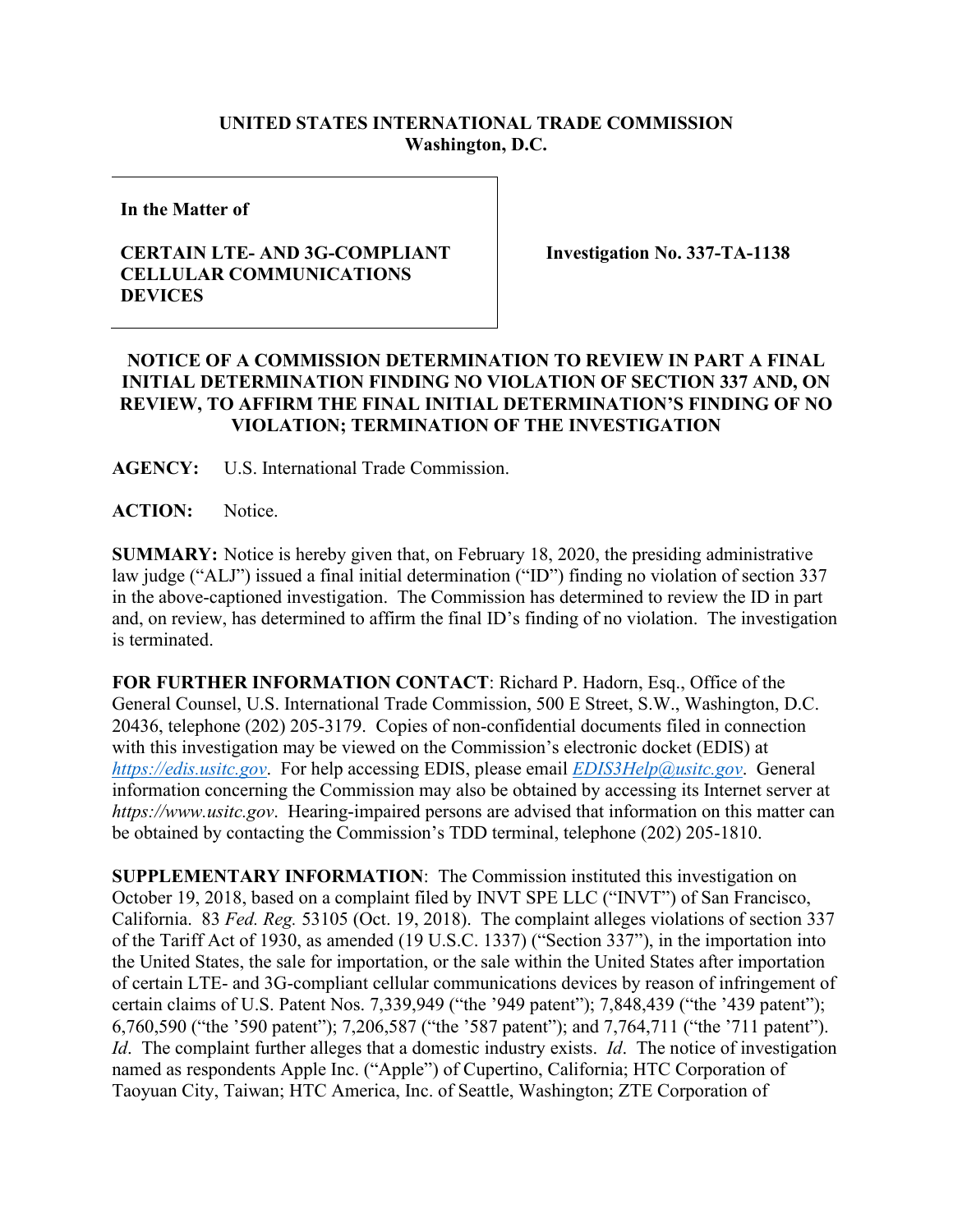## **UNITED STATES INTERNATIONAL TRADE COMMISSION Washington, D.C.**

**In the Matter of**

## **CERTAIN LTE- AND 3G-COMPLIANT CELLULAR COMMUNICATIONS DEVICES**

**Investigation No. 337-TA-1138** 

## **NOTICE OF A COMMISSION DETERMINATION TO REVIEW IN PART A FINAL INITIAL DETERMINATION FINDING NO VIOLATION OF SECTION 337 AND, ON REVIEW, TO AFFIRM THE FINAL INITIAL DETERMINATION'S FINDING OF NO VIOLATION; TERMINATION OF THE INVESTIGATION**

**AGENCY:** U.S. International Trade Commission.

**ACTION:** Notice.

**SUMMARY:** Notice is hereby given that, on February 18, 2020, the presiding administrative law judge ("ALJ") issued a final initial determination ("ID") finding no violation of section 337 in the above-captioned investigation. The Commission has determined to review the ID in part and, on review, has determined to affirm the final ID's finding of no violation. The investigation is terminated.

**FOR FURTHER INFORMATION CONTACT**: Richard P. Hadorn, Esq., Office of the General Counsel, U.S. International Trade Commission, 500 E Street, S.W., Washington, D.C. 20436, telephone (202) 205-3179. Copies of non-confidential documents filed in connection with this investigation may be viewed on the Commission's electronic docket (EDIS) at *[https://edis.usitc.gov](https://edis.usitc.gov/)*. For help accessing EDIS, please email *[EDIS3Help@usitc.gov](mailto:EDIS3Help@usitc.gov)*. General information concerning the Commission may also be obtained by accessing its Internet server at *https://www.usitc.gov*. Hearing-impaired persons are advised that information on this matter can be obtained by contacting the Commission's TDD terminal, telephone (202) 205-1810.

**SUPPLEMENTARY INFORMATION**: The Commission instituted this investigation on October 19, 2018, based on a complaint filed by INVT SPE LLC ("INVT") of San Francisco, California. 83 *Fed. Reg.* 53105 (Oct. 19, 2018). The complaint alleges violations of section 337 of the Tariff Act of 1930, as amended (19 U.S.C. 1337) ("Section 337"), in the importation into the United States, the sale for importation, or the sale within the United States after importation of certain LTE- and 3G-compliant cellular communications devices by reason of infringement of certain claims of U.S. Patent Nos. 7,339,949 ("the '949 patent"); 7,848,439 ("the '439 patent"); 6,760,590 ("the '590 patent"); 7,206,587 ("the '587 patent"); and 7,764,711 ("the '711 patent"). *Id*. The complaint further alleges that a domestic industry exists. *Id*. The notice of investigation named as respondents Apple Inc. ("Apple") of Cupertino, California; HTC Corporation of Taoyuan City, Taiwan; HTC America, Inc. of Seattle, Washington; ZTE Corporation of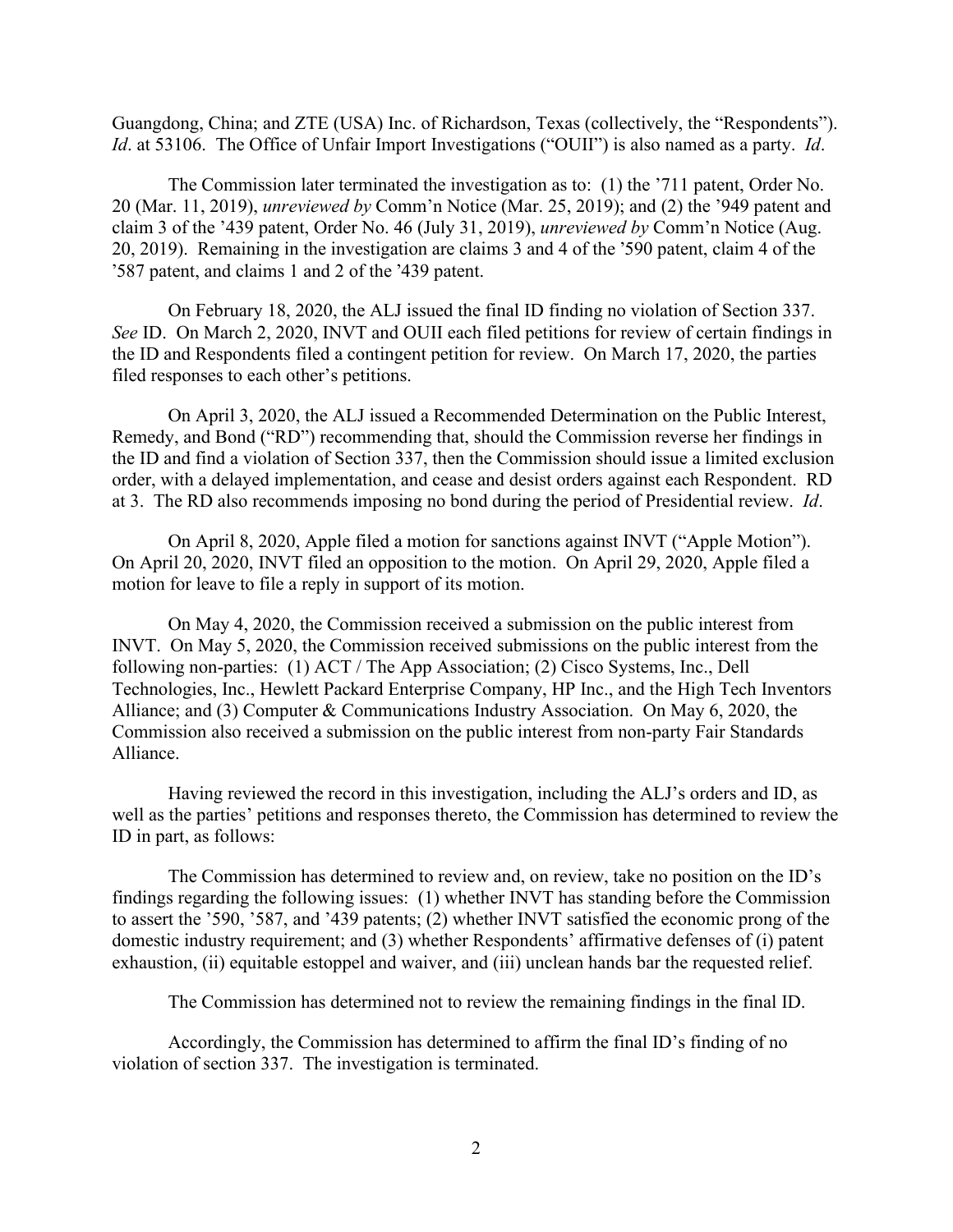Guangdong, China; and ZTE (USA) Inc. of Richardson, Texas (collectively, the "Respondents"). *Id*. at 53106. The Office of Unfair Import Investigations ("OUII") is also named as a party. *Id*.

The Commission later terminated the investigation as to: (1) the '711 patent, Order No. 20 (Mar. 11, 2019), *unreviewed by* Comm'n Notice (Mar. 25, 2019); and (2) the '949 patent and claim 3 of the '439 patent, Order No. 46 (July 31, 2019), *unreviewed by* Comm'n Notice (Aug. 20, 2019). Remaining in the investigation are claims 3 and 4 of the ՚590 patent, claim 4 of the ՚587 patent, and claims 1 and 2 of the ՚439 patent.

On February 18, 2020, the ALJ issued the final ID finding no violation of Section 337. *See* ID. On March 2, 2020, INVT and OUII each filed petitions for review of certain findings in the ID and Respondents filed a contingent petition for review. On March 17, 2020, the parties filed responses to each other's petitions.

On April 3, 2020, the ALJ issued a Recommended Determination on the Public Interest, Remedy, and Bond ("RD") recommending that, should the Commission reverse her findings in the ID and find a violation of Section 337, then the Commission should issue a limited exclusion order, with a delayed implementation, and cease and desist orders against each Respondent. RD at 3. The RD also recommends imposing no bond during the period of Presidential review. *Id*.

On April 8, 2020, Apple filed a motion for sanctions against INVT ("Apple Motion"). On April 20, 2020, INVT filed an opposition to the motion. On April 29, 2020, Apple filed a motion for leave to file a reply in support of its motion.

On May 4, 2020, the Commission received a submission on the public interest from INVT. On May 5, 2020, the Commission received submissions on the public interest from the following non-parties: (1) ACT / The App Association; (2) Cisco Systems, Inc., Dell Technologies, Inc., Hewlett Packard Enterprise Company, HP Inc., and the High Tech Inventors Alliance; and (3) Computer & Communications Industry Association. On May 6, 2020, the Commission also received a submission on the public interest from non-party Fair Standards Alliance.

Having reviewed the record in this investigation, including the ALJ's orders and ID, as well as the parties' petitions and responses thereto, the Commission has determined to review the ID in part, as follows:

The Commission has determined to review and, on review, take no position on the ID's findings regarding the following issues: (1) whether INVT has standing before the Commission to assert the '590, '587, and '439 patents; (2) whether INVT satisfied the economic prong of the domestic industry requirement; and (3) whether Respondents' affirmative defenses of (i) patent exhaustion, (ii) equitable estoppel and waiver, and (iii) unclean hands bar the requested relief.

The Commission has determined not to review the remaining findings in the final ID.

Accordingly, the Commission has determined to affirm the final ID's finding of no violation of section 337. The investigation is terminated.